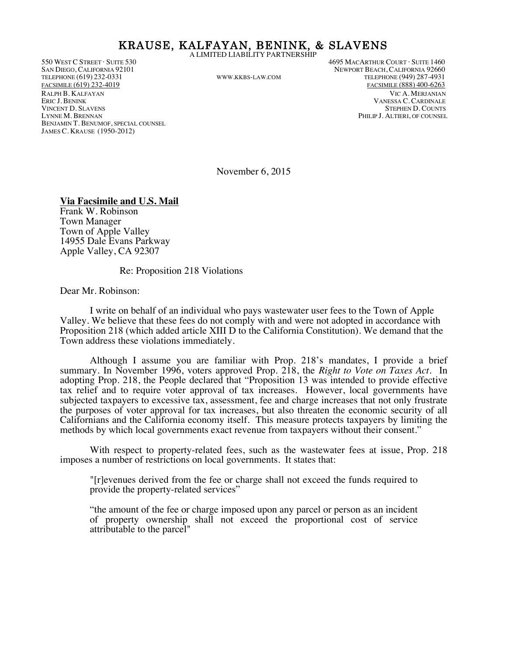#### KRAUSE, KALFAYAN, BENINK, & SLAVENS A LIMITED LIABILITY PARTNERSHIP

VINCENT D. SLAVENS<br>LYNNE M. BRENNAN BENJAMIN T. BENUMOF, SPECIAL COUNSEL JAMES C. KRAUSE (1950-2012)

550 WEST C STREET · SUITE 530 4695 MACARTHUR COURT · SUITE 1460 SAN DIEGO, CALIFORNIA 92101 (SAN DIEGO, CALIFORNIA 92060 UNEWPORT BEACH, CALIFORNIA 92660 UNEWPORT BEACH, CALIFORNIA 92660 UNEWPORT BEACH, CALIFORNIA 92660 UNEWPORT BEACH, CALIFORNIA 92660 UNEWPORT BEACH, CALIFORNIA 92660 TELEPHONE (949) 287-4931 FACSIMILE (619) 232-4019 FACSIMILE (888) 400-6263 RALPH B. KALFAYAN VIC A. MERJANIAN VANESSA C. CARDINALE<br>STEPHEN D. COUNTS PHILIP J. ALTIERI, OF COUNSEL

November 6, 2015

#### **Via Facsimile and U.S. Mail**

Frank W. Robinson Town Manager Town of Apple Valley 14955 Dale Evans Parkway Apple Valley, CA 92307

Re: Proposition 218 Violations

Dear Mr. Robinson:

I write on behalf of an individual who pays wastewater user fees to the Town of Apple Valley. We believe that these fees do not comply with and were not adopted in accordance with Proposition 218 (which added article XIII D to the California Constitution). We demand that the Town address these violations immediately.

Although I assume you are familiar with Prop. 218's mandates, I provide a brief summary. In November 1996, voters approved Prop. 218, the *Right to Vote on Taxes Act*. In adopting Prop. 218, the People declared that "Proposition 13 was intended to provide effective tax relief and to require voter approval of tax increases. However, local governments have subjected taxpayers to excessive tax, assessment, fee and charge increases that not only frustrate the purposes of voter approval for tax increases, but also threaten the economic security of all Californians and the California economy itself. This measure protects taxpayers by limiting the methods by which local governments exact revenue from taxpayers without their consent."

With respect to property-related fees, such as the wastewater fees at issue, Prop. 218 imposes a number of restrictions on local governments. It states that:

"[r]evenues derived from the fee or charge shall not exceed the funds required to provide the property-related services"

"the amount of the fee or charge imposed upon any parcel or person as an incident of property ownership shall not exceed the proportional cost of service attributable to the parcel"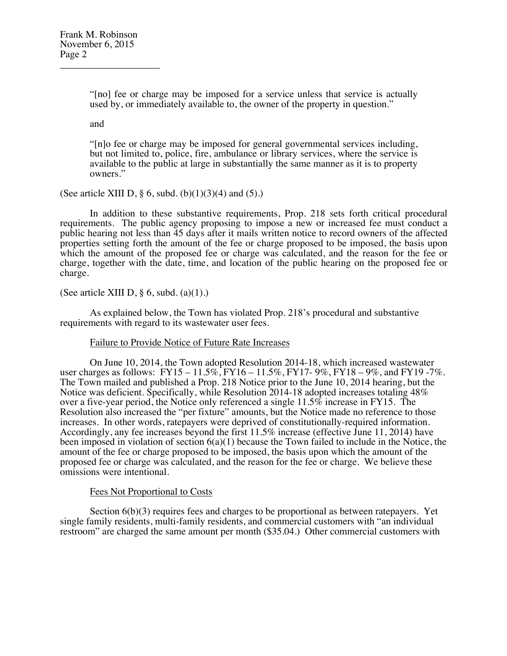\_\_\_\_\_\_\_\_\_\_\_\_\_\_\_\_\_\_\_\_

"[no] fee or charge may be imposed for a service unless that service is actually used by, or immediately available to, the owner of the property in question."

and

"[n]o fee or charge may be imposed for general governmental services including, but not limited to, police, fire, ambulance or library services, where the service is available to the public at large in substantially the same manner as it is to property owners."

(See article XIII D, § 6, subd.  $(b)(1)(3)(4)$  and  $(5)$ .)

In addition to these substantive requirements, Prop. 218 sets forth critical procedural requirements. The public agency proposing to impose a new or increased fee must conduct a public hearing not less than 45 days after it mails written notice to record owners of the affected properties setting forth the amount of the fee or charge proposed to be imposed, the basis upon which the amount of the proposed fee or charge was calculated, and the reason for the fee or charge, together with the date, time, and location of the public hearing on the proposed fee or charge.

(See article XIII D,  $\S$  6, subd. (a)(1).)

As explained below, the Town has violated Prop. 218's procedural and substantive requirements with regard to its wastewater user fees.

## Failure to Provide Notice of Future Rate Increases

On June 10, 2014, the Town adopted Resolution 2014-18, which increased wastewater user charges as follows: FY15 – 11.5%, FY16 – 11.5%, FY17- 9%, FY18 – 9%, and FY19 -7%. The Town mailed and published a Prop. 218 Notice prior to the June 10, 2014 hearing, but the Notice was deficient. Specifically, while Resolution 2014-18 adopted increases totaling 48% over a five-year period, the Notice only referenced a single 11.5% increase in FY15. The Resolution also increased the "per fixture" amounts, but the Notice made no reference to those increases. In other words, ratepayers were deprived of constitutionally-required information. Accordingly, any fee increases beyond the first 11.5% increase (effective June 11, 2014) have been imposed in violation of section  $6(a)(1)$  because the Town failed to include in the Notice, the amount of the fee or charge proposed to be imposed, the basis upon which the amount of the proposed fee or charge was calculated, and the reason for the fee or charge. We believe these omissions were intentional.

## Fees Not Proportional to Costs

Section  $6(b)(3)$  requires fees and charges to be proportional as between ratepayers. Yet single family residents, multi-family residents, and commercial customers with "an individual restroom" are charged the same amount per month (\$35.04.) Other commercial customers with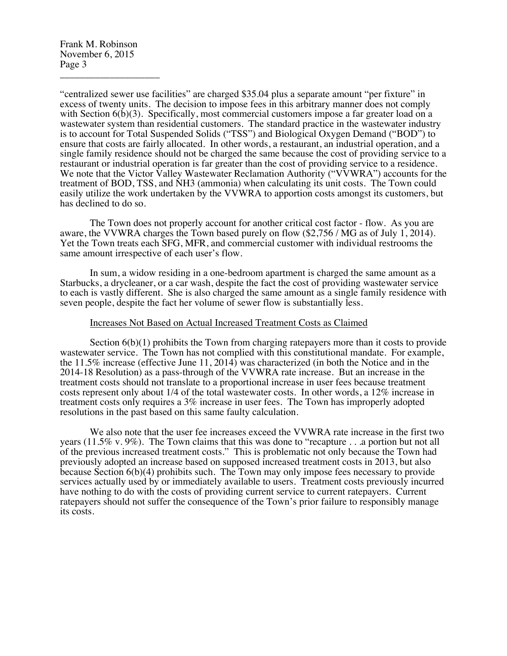Frank M. Robinson November 6, 2015 Page 3 \_\_\_\_\_\_\_\_\_\_\_\_\_\_\_\_\_\_\_\_

"centralized sewer use facilities" are charged \$35.04 plus a separate amount "per fixture" in excess of twenty units. The decision to impose fees in this arbitrary manner does not comply with Section  $6(b)(3)$ . Specifically, most commercial customers impose a far greater load on a wastewater system than residential customers. The standard practice in the wastewater industry is to account for Total Suspended Solids ("TSS") and Biological Oxygen Demand ("BOD") to ensure that costs are fairly allocated. In other words, a restaurant, an industrial operation, and a single family residence should not be charged the same because the cost of providing service to a restaurant or industrial operation is far greater than the cost of providing service to a residence. We note that the Victor Valley Wastewater Reclamation Authority ("VVWRA") accounts for the treatment of BOD, TSS, and NH3 (ammonia) when calculating its unit costs. The Town could easily utilize the work undertaken by the VVWRA to apportion costs amongst its customers, but has declined to do so.

The Town does not properly account for another critical cost factor - flow. As you are aware, the VVWRA charges the Town based purely on flow (\$2,756 / MG as of July 1, 2014). Yet the Town treats each SFG, MFR, and commercial customer with individual restrooms the same amount irrespective of each user's flow.

In sum, a widow residing in a one-bedroom apartment is charged the same amount as a Starbucks, a drycleaner, or a car wash, despite the fact the cost of providing wastewater service to each is vastly different. She is also charged the same amount as a single family residence with seven people, despite the fact her volume of sewer flow is substantially less.

#### Increases Not Based on Actual Increased Treatment Costs as Claimed

Section  $6(b)(1)$  prohibits the Town from charging ratepayers more than it costs to provide wastewater service. The Town has not complied with this constitutional mandate. For example, the 11.5% increase (effective June 11, 2014) was characterized (in both the Notice and in the 2014-18 Resolution) as a pass-through of the VVWRA rate increase. But an increase in the treatment costs should not translate to a proportional increase in user fees because treatment costs represent only about 1/4 of the total wastewater costs. In other words, a 12% increase in treatment costs only requires a 3% increase in user fees. The Town has improperly adopted resolutions in the past based on this same faulty calculation.

We also note that the user fee increases exceed the VVWRA rate increase in the first two years  $(11.5\% \text{ v} \cdot 9\%)$ . The Town claims that this was done to "recapture . . .a portion but not all of the previous increased treatment costs." This is problematic not only because the Town had previously adopted an increase based on supposed increased treatment costs in 2013, but also because Section 6(b)(4) prohibits such. The Town may only impose fees necessary to provide services actually used by or immediately available to users. Treatment costs previously incurred have nothing to do with the costs of providing current service to current ratepayers. Current ratepayers should not suffer the consequence of the Town's prior failure to responsibly manage its costs.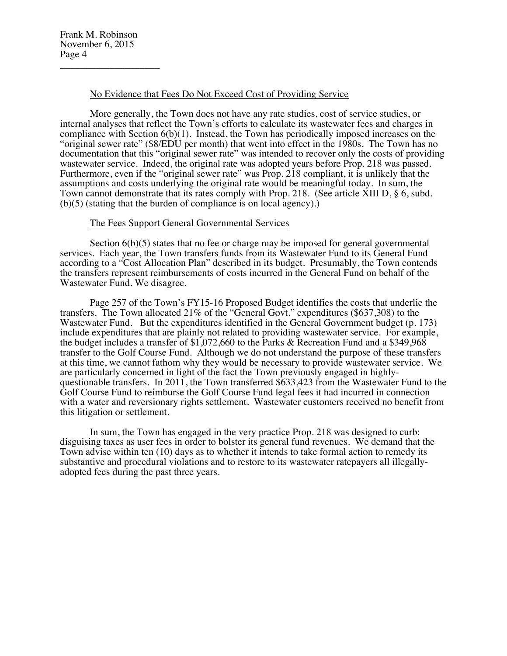# No Evidence that Fees Do Not Exceed Cost of Providing Service

More generally, the Town does not have any rate studies, cost of service studies, or internal analyses that reflect the Town's efforts to calculate its wastewater fees and charges in compliance with Section 6(b)(1). Instead, the Town has periodically imposed increases on the "original sewer rate" (\$8/EDU per month) that went into effect in the 1980s. The Town has no documentation that this "original sewer rate" was intended to recover only the costs of providing wastewater service. Indeed, the original rate was adopted years before Prop. 218 was passed. Furthermore, even if the "original sewer rate" was Prop. 218 compliant, it is unlikely that the assumptions and costs underlying the original rate would be meaningful today. In sum, the Town cannot demonstrate that its rates comply with Prop. 218. (See article XIII D, § 6, subd. (b)(5) (stating that the burden of compliance is on local agency).)

## The Fees Support General Governmental Services

Section  $6(b)(5)$  states that no fee or charge may be imposed for general governmental services. Each year, the Town transfers funds from its Wastewater Fund to its General Fund according to a "Cost Allocation Plan" described in its budget. Presumably, the Town contends the transfers represent reimbursements of costs incurred in the General Fund on behalf of the Wastewater Fund. We disagree.

Page 257 of the Town's FY15-16 Proposed Budget identifies the costs that underlie the transfers. The Town allocated 21% of the "General Govt." expenditures (\$637,308) to the Wastewater Fund. But the expenditures identified in the General Government budget (p. 173) include expenditures that are plainly not related to providing wastewater service. For example, the budget includes a transfer of \$1,072,660 to the Parks & Recreation Fund and a \$349,968 transfer to the Golf Course Fund. Although we do not understand the purpose of these transfers at this time, we cannot fathom why they would be necessary to provide wastewater service. We are particularly concerned in light of the fact the Town previously engaged in highlyquestionable transfers. In 2011, the Town transferred \$633,423 from the Wastewater Fund to the Golf Course Fund to reimburse the Golf Course Fund legal fees it had incurred in connection with a water and reversionary rights settlement. Wastewater customers received no benefit from this litigation or settlement.

In sum, the Town has engaged in the very practice Prop. 218 was designed to curb: disguising taxes as user fees in order to bolster its general fund revenues. We demand that the Town advise within ten (10) days as to whether it intends to take formal action to remedy its substantive and procedural violations and to restore to its wastewater ratepayers all illegallyadopted fees during the past three years.